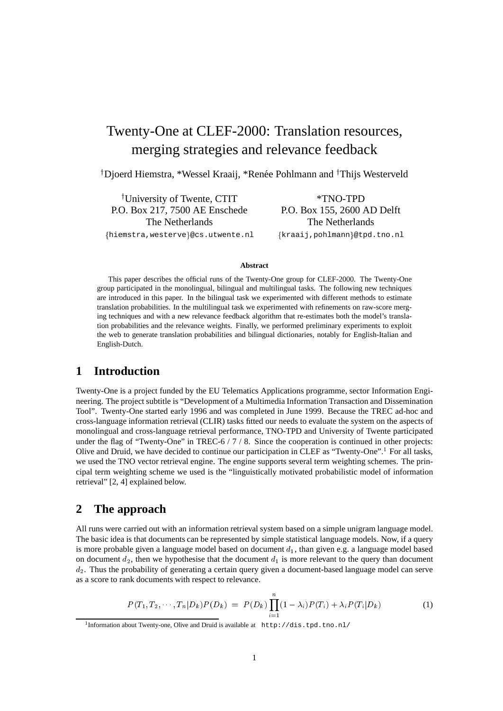# Twenty-One at CLEF-2000: Translation resources, merging strategies and relevance feedback

<sup>†</sup>Djoerd Hiemstra, \*Wessel Kraaij, \*Renée Pohlmann and <sup>†</sup>Thijs Westerveld

<sup>†</sup>University of Twente, CTIT P.O. Box 217, 7500 AE Enschede The Netherlands

{hiemstra, westerve}@cs.utwente.nl

\*TNO-TPD P.O. Box 155, 2600 AD Delft The Netherlands {kraaij,pohlmann}@tpd.tno.nl

#### **Abstract**

This paper describes the official runs of the Twenty-One group for CLEF-2000. The Twenty-One group participated in the monolingual, bilingual and multilingual tasks. The following new techniques are introduced in this paper. In the bilingual task we experimented with different methods to estimate translation probabilities. In the multilingual task we experimented with refinements on raw-score merging techniques and with a new relevance feedback algorithm that re-estimates both the model's translation probabilities and the relevance weights. Finally, we performed preliminary experiments to exploit the web to generate translation probabilities and bilingual dictionaries, notably for English-Italian and English-Dutch.

### **1 Introduction**

Twenty-One is a project funded by the EU Telematics Applications programme, sector Information Engineering. The project subtitle is "Development of a Multimedia Information Transaction and Dissemination Tool". Twenty-One started early 1996 and was completed in June 1999. Because the TREC ad-hoc and cross-language information retrieval (CLIR) tasks fitted our needs to evaluate the system on the aspects of monolingual and cross-language retrieval performance, TNO-TPD and University of Twente participated under the flag of "Twenty-One" in TREC-6 / 7 / 8. Since the cooperation is continued in other projects: Olive and Druid, we have decided to continue our participation in CLEF as "Twenty-One".<sup>1</sup> For all tasks, we used the TNO vector retrieval engine. The engine supports several term weighting schemes. The principal term weighting scheme we used is the "linguistically motivated probabilistic model of information retrieval" [2, 4] explained below.

### **2 The approach**

All runs were carried out with an information retrieval system based on a simple unigram language model. The basic idea is that documents can be represented by simple statistical language models. Now, if a query is more probable given a language model based on document  $d_1$ , than given e.g. a language model based on document  $d_2$ , then we hypothesise that the document  $d_1$  is more relevant to the query than document  $d_2$ . Thus the probability of generating a certain query given a document-based language model can serve as a score to rank documents with respect to relevance.

$$
P(T_1, T_2, \cdots, T_n | D_k) P(D_k) = P(D_k) \prod_{i=1}^n (1 - \lambda_i) P(T_i) + \lambda_i P(T_i | D_k)
$$
 (1)

<sup>1</sup> Information about Twenty-one, Olive and Druid is available at http://dis.tpd.tno.nl/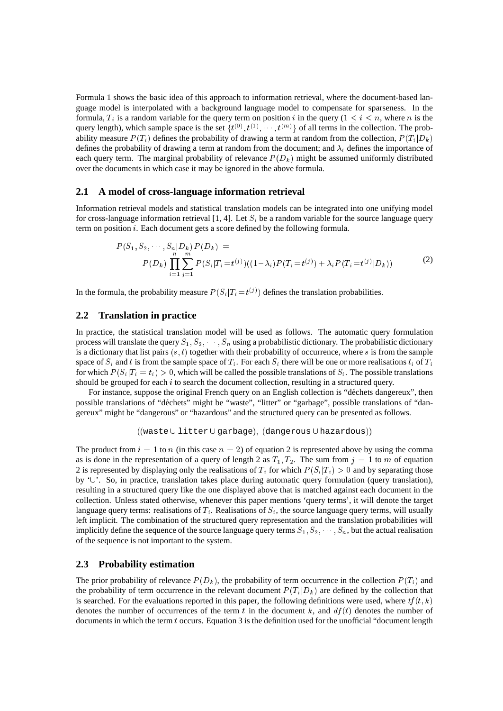Formula 1 shows the basic idea of this approach to information retrieval, where the document-based language model is interpolated with a background language model to compensate for sparseness. In the formula,  $T_i$  is a random variable for the query term on position i in the query  $(1 \le i \le n$ , where n is the query length), which sample space is the set  $\{t^{(0)}, t^{(1)}, \dots, t^{(m)}\}$  of all terms in the collection. The probability measure  $P(T_i)$  defines the probability of drawing a term at random from the collection,  $P(T_i|D_k)$ defines the probability of drawing a term at random from the document; and  $\lambda_i$  defines the importance of each query term. The marginal probability of relevance  $P(D_k)$  might be assumed uniformly distributed over the documents in which case it may be ignored in the above formula.

#### **2.1 A model of cross-language information retrieval**

Information retrieval models and statistical translation models can be integrated into one unifying model for cross-language information retrieval [1, 4]. Let  $S_i$  be a random variable for the source language query term on position <sup>i</sup>. Each document gets a score defined by the following formula.

$$
P(S_1, S_2, \cdots, S_n | D_k) P(D_k) =
$$
  
\n
$$
P(D_k) \prod_{i=1}^n \sum_{j=1}^n P(S_i | T_i = t^{(j)}) ((1 - \lambda_i) P(T_i = t^{(j)}) + \lambda_i P(T_i = t^{(j)} | D_k))
$$
\n(2)

In the formula, the probability measure  $P(S_i | T_i = t^{(j)})$  defines the translation probabilities.

#### **2.2 Translation in practice**

In practice, the statistical translation model will be used as follows. The automatic query formulation process will translate the query  $S_1, S_2, \cdots, S_n$  using a probabilistic dictionary. The probabilistic dictionary is a dictionary that list pairs  $(s, t)$  together with their probability of occurrence, where s is from the sample space of  $S_i$  and t is from the sample space of  $T_i$ . For each  $S_i$  there will be one or more realisations  $t_i$  of  $T_i$ for which  $P(S_i | T_i = t_i) > 0$ , which will be called the possible translations of  $S_i$ . The possible translations should be grouped for each  $i$  to search the document collection, resulting in a structured query.

For instance, suppose the original French query on an English collection is "déchets dangereux", then possible translations of "déchets" might be "waste", "litter" or "garbage", possible translations of "dangereux" might be "dangerous" or "hazardous" and the structured query can be presented as follows.

```
((waste \cup litter \cupqarbaqe), (danqerous \cup hazardous))
```
The product from  $i = 1$  to n (in this case  $n = 2$ ) of equation 2 is represented above by using the comma as is done in the representation of a query of length 2 as  $T_1, T_2$ . The sum from  $j = 1$  to m of equation 2 is represented by displaying only the realisations of  $T_i$  for which  $P(S_i | T_i) > 0$  and by separating those by  $\cup$ . So, in practice, translation takes place during automatic query formulation (query translation), resulting in a structured query like the one displayed above that is matched against each document in the collection. Unless stated otherwise, whenever this paper mentions 'query terms', it will denote the target language query terms: realisations of  $T_i$ . Realisations of  $S_i$ , the source language query terms, will usually left implicit. The combination of the structured query representation and the translation probabilities will implicitly define the sequence of the source language query terms  $S_1, S_2, \cdots, S_n$ , but the actual realisation of the sequence is not important to the system.

#### **2.3 Probability estimation**

The prior probability of relevance  $P(D_k)$ , the probability of term occurrence in the collection  $P(T_i)$  and the probability of term occurrence in the relevant document  $P(T_i|D_k)$  are defined by the collection that is searched. For the evaluations reported in this paper, the following definitions were used, where  $tf(t, k)$ denotes the number of occurrences of the term t in the document k, and  $df(t)$  denotes the number of documents in which the term <sup>t</sup> occurs. Equation 3 is the definition used for the unofficial "document length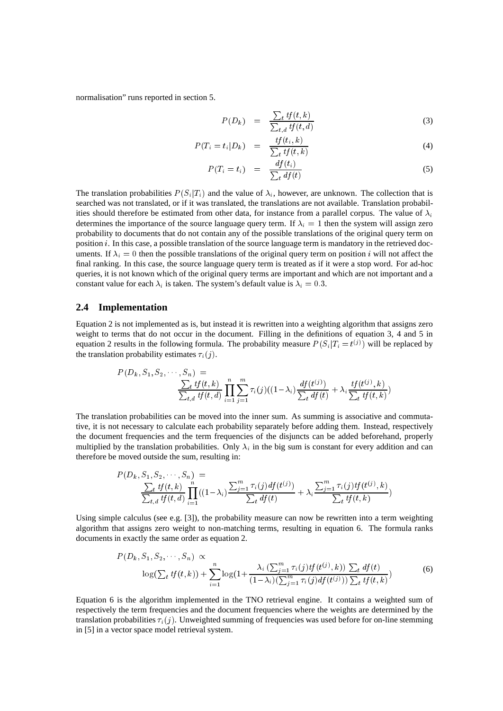normalisation" runs reported in section 5.

$$
P(D_k) = \frac{\sum_t tf(t, k)}{\sum_{t, d} tf(t, d)}
$$
\n(3)

$$
P(T_i = t_i | D_k) = \frac{tf(t_i, k)}{\sum_t tf(t, k)}
$$
\n
$$
(4)
$$

$$
P(T_i = t_i) = \frac{df(t_i)}{\sum_t df(t)} \tag{5}
$$

The translation probabilities  $P(S_i | T_i)$  and the value of  $\lambda_i$ , however, are unknown. The collection that is searched was not translated, or if it was translated, the translations are not available. Translation probabilities should therefore be estimated from other data, for instance from a parallel corpus. The value of  $\lambda_i$ determines the importance of the source language query term. If  $\lambda_i = 1$  then the system will assign zero probability to documents that do not contain any of the possible translations of the original query term on position <sup>i</sup>. In this case, a possible translation of the source language term is mandatory in the retrieved documents. If  $\lambda_i = 0$  then the possible translations of the original query term on position i will not affect the final ranking. In this case, the source language query term is treated as if it were a stop word. For ad-hoc queries, it is not known which of the original query terms are important and which are not important and a constant value for each  $\lambda_i$  is taken. The system's default value is  $\lambda_i = 0.3$ .

#### **2.4 Implementation**

Equation 2 is not implemented as is, but instead it is rewritten into a weighting algorithm that assigns zero weight to terms that do not occur in the document. Filling in the definitions of equation 3, 4 and 5 in equation 2 results in the following formula. The probability measure  $P(S_i | T_i = t^{(j)})$  will be replaced by the translation probability estimates  $\tau_i(j)$ .

$$
P(D_k, S_1, S_2, \cdots, S_n) = \frac{\sum_t tf(t, k)}{\sum_{t, d} tf(t, d)} \prod_{i=1}^n \sum_{j=1}^m \tau_i(j)((1 - \lambda_i) \frac{df(t^{(j)})}{\sum_t df(t)} + \lambda_i \frac{tf(t^{(j)}, k)}{\sum_t tf(t, k)})
$$

The translation probabilities can be moved into the inner sum. As summing is associative and commutative, it is not necessary to calculate each probability separately before adding them. Instead, respectively the document frequencies and the term frequencies of the disjuncts can be added beforehand, properly multiplied by the translation probabilities. Only  $\lambda_i$  in the big sum is constant for every addition and can therefore be moved outside the sum, resulting in:

$$
P(D_k, S_1, S_2, \cdots, S_n) = \frac{\sum_{t} tf(t, k)}{\sum_{t, d} tf(t, d)} \prod_{i=1}^{n} ((1 - \lambda_i) \frac{\sum_{j=1}^{m} \tau_i(j) df(t^{(j)})}{\sum_{t} df(t)} + \lambda_i \frac{\sum_{j=1}^{m} \tau_i(j) tf(t^{(j)}, k)}{\sum_{t} tf(t, k)})
$$

Using simple calculus (see e.g. [3]), the probability measure can now be rewritten into a term weighting algorithm that assigns zero weight to non-matching terms, resulting in equation 6. The formula ranks documents in exactly the same order as equation 2.

$$
P(D_k, S_1, S_2, \cdots, S_n) \propto \log(\sum_t tf(t, k)) + \sum_{i=1}^n \log(1 + \frac{\lambda_i (\sum_{j=1}^m \tau_i(j)tf(t^{(j)}, k)) \sum_t df(t)}{(1 - \lambda_i)(\sum_{j=1}^m \tau_i(j)df(t^{(j)})) \sum_t tf(t, k)})
$$
(6)

Equation 6 is the algorithm implemented in the TNO retrieval engine. It contains a weighted sum of respectively the term frequencies and the document frequencies where the weights are determined by the translation probabilities  $\tau_i(j)$ . Unweighted summing of frequencies was used before for on-line stemming in [5] in a vector space model retrieval system.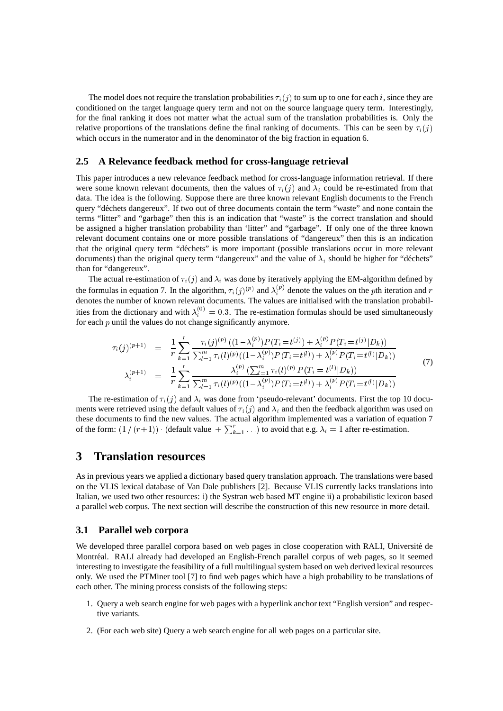The model does not require the translation probabilities  $\tau_i(j)$  to sum up to one for each i, since they are conditioned on the target language query term and not on the source language query term. Interestingly, for the final ranking it does not matter what the actual sum of the translation probabilities is. Only the relative proportions of the translations define the final ranking of documents. This can be seen by  $\tau_i(i)$ which occurs in the numerator and in the denominator of the big fraction in equation 6.

#### **2.5 A Relevance feedback method for cross-language retrieval**

This paper introduces a new relevance feedback method for cross-language information retrieval. If there were some known relevant documents, then the values of  $\tau_i(j)$  and  $\lambda_i$  could be re-estimated from that data. The idea is the following. Suppose there are three known relevant English documents to the French query "déchets dangereux". If two out of three documents contain the term "waste" and none contain the terms "litter" and "garbage" then this is an indication that "waste" is the correct translation and should be assigned a higher translation probability than 'litter" and "garbage". If only one of the three known relevant document contains one or more possible translations of "dangereux" then this is an indication that the original query term "déchets" is more important (possible translations occur in more relevant documents) than the original query term "dangereux" and the value of  $\lambda_i$  should be higher for "déchets" than for "dangereux".

The actual re-estimation of  $\tau_i(j)$  and  $\lambda_i$  was done by iteratively applying the EM-algorithm defined by the formulas in equation 7. In the algorithm,  $\tau_i(j)^{(p)}$  and  $\lambda_i^{(p)}$  denote the values on the pth iteration and r denotes the number of known relevant documents. The values are initialised with the translation probabilities from the dictionary and with  $\lambda_i^{(0)} = 0.3$ . The re-estimation formulas should be used simultaneously for each  $p$  until the values do not change significantly anymore.

$$
\tau_i(j)^{(p+1)} = \frac{1}{r} \sum_{k=1}^r \frac{\tau_i(j)^{(p)} \left( (1 - \lambda_i^{(p)}) P(T_i = t^{(j)}) + \lambda_i^{(p)} P(T_i = t^{(j)} | D_k) \right)}{\sum_{l=1}^m \tau_i(l)^{(p)} \left( (1 - \lambda_i^{(p)}) P(T_i = t^{(l)}) + \lambda_i^{(p)} P(T_i = t^{(l)} | D_k) \right)}
$$
\n
$$
\lambda_i^{(p+1)} = \frac{1}{r} \sum_{k=1}^r \frac{\lambda_i^{(p)} \left( \sum_{l=1}^m \tau_i(l)^{(p)} P(T_i = t^{(l)} | D_k) \right)}{\sum_{l=1}^m \tau_i(l)^{(p)} \left( (1 - \lambda_i^{(p)}) P(T_i = t^{(l)}) + \lambda_i^{(p)} P(T_i = t^{(l)} | D_k) \right)}
$$
\n(7)

The re-estimation of  $\tau_i(j)$  and  $\lambda_i$  was done from 'pseudo-relevant' documents. First the top 10 documents were retrieved using the default values of  $\tau_i(j)$  and  $\lambda_i$  and then the feedback algorithm was used on these documents to find the new values. The actual algorithm implemented was a variation of equation 7 of the form:  $(1/(r+1))$  (default value  $+\sum_{k=1}^{r}$ ...) to avoid that e.g.  $\lambda_i = 1$  after re-estimation.

### **3 Translation resources**

As in previous years we applied a dictionary based query translation approach. The translations were based on the VLIS lexical database of Van Dale publishers [2]. Because VLIS currently lacks translations into Italian, we used two other resources: i) the Systran web based MT engine ii) a probabilistic lexicon based a parallel web corpus. The next section will describe the construction of this new resource in more detail.

#### **3.1 Parallel web corpora**

We developed three parallel corpora based on web pages in close cooperation with RALI, Université de Montréal. RALI already had developed an English-French parallel corpus of web pages, so it seemed interesting to investigate the feasibility of a full multilingual system based on web derived lexical resources only. We used the PTMiner tool [7] to find web pages which have a high probability to be translations of each other. The mining process consists of the following steps:

- 1. Query a web search engine for web pages with a hyperlink anchor text "English version" and respective variants.
- 2. (For each web site) Query a web search engine for all web pages on a particular site.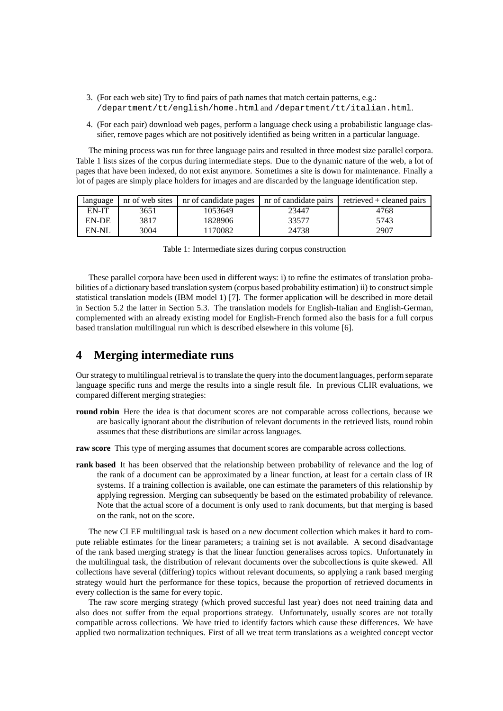- 3. (For each web site) Try to find pairs of path names that match certain patterns, e.g.: /department/tt/english/home.html and /department/tt/italian.html.
- 4. (For each pair) download web pages, perform a language check using a probabilistic language classifier, remove pages which are not positively identified as being written in a particular language.

The mining process was run for three language pairs and resulted in three modest size parallel corpora. Table 1 lists sizes of the corpus during intermediate steps. Due to the dynamic nature of the web, a lot of pages that have been indexed, do not exist anymore. Sometimes a site is down for maintenance. Finally a lot of pages are simply place holders for images and are discarded by the language identification step.

| language | nr of web sites | nr of candidate pages | nr of candidate pairs | retrieved + cleaned pairs |
|----------|-----------------|-----------------------|-----------------------|---------------------------|
| EN-IT    | 3651            | 1053649               | 23447                 | 4768                      |
| EN-DE    | 3817            | 1828906               | 33577                 | 5743                      |
| EN-NL    | 3004            | 170082                | 24738                 | 2907                      |

Table 1: Intermediate sizes during corpus construction

These parallel corpora have been used in different ways: i) to refine the estimates of translation probabilities of a dictionary based translation system (corpus based probability estimation) ii) to construct simple statistical translation models (IBM model 1) [7]. The former application will be described in more detail in Section 5.2 the latter in Section 5.3. The translation models for English-Italian and English-German, complemented with an already existing model for English-French formed also the basis for a full corpus based translation multilingual run which is described elsewhere in this volume [6].

# **4 Merging intermediate runs**

Our strategy to multilingual retrieval is to translate the query into the document languages, perform separate language specific runs and merge the results into a single result file. In previous CLIR evaluations, we compared different merging strategies:

**round robin** Here the idea is that document scores are not comparable across collections, because we are basically ignorant about the distribution of relevant documents in the retrieved lists, round robin assumes that these distributions are similar across languages.

**raw score** This type of merging assumes that document scores are comparable across collections.

**rank based** It has been observed that the relationship between probability of relevance and the log of the rank of a document can be approximated by a linear function, at least for a certain class of IR systems. If a training collection is available, one can estimate the parameters of this relationship by applying regression. Merging can subsequently be based on the estimated probability of relevance. Note that the actual score of a document is only used to rank documents, but that merging is based on the rank, not on the score.

The new CLEF multilingual task is based on a new document collection which makes it hard to compute reliable estimates for the linear parameters; a training set is not available. A second disadvantage of the rank based merging strategy is that the linear function generalises across topics. Unfortunately in the multilingual task, the distribution of relevant documents over the subcollections is quite skewed. All collections have several (differing) topics without relevant documents, so applying a rank based merging strategy would hurt the performance for these topics, because the proportion of retrieved documents in every collection is the same for every topic.

The raw score merging strategy (which proved succesful last year) does not need training data and also does not suffer from the equal proportions strategy. Unfortunately, usually scores are not totally compatible across collections. We have tried to identify factors which cause these differences. We have applied two normalization techniques. First of all we treat term translations as a weighted concept vector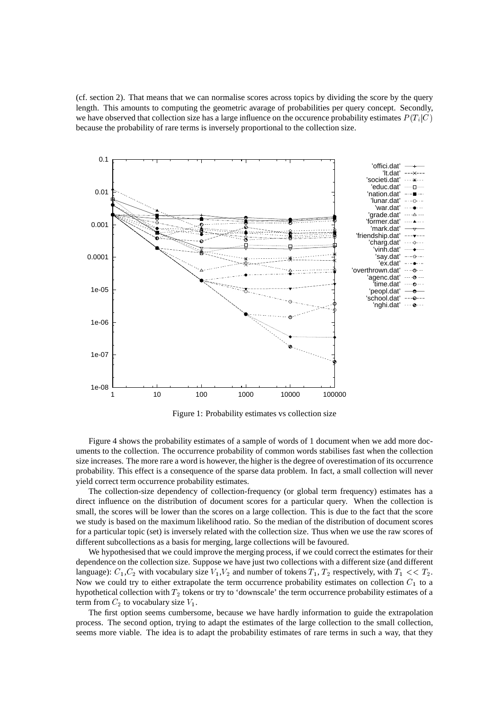(cf. section 2). That means that we can normalise scores across topics by dividing the score by the query length. This amounts to computing the geometric avarage of probabilities per query concept. Secondly, we have observed that collection size has a large influence on the occurence probability estimates  $P(T_i|C)$ because the probability of rare terms is inversely proportional to the collection size.



Figure 1: Probability estimates vs collection size

Figure 4 shows the probability estimates of a sample of words of 1 document when we add more documents to the collection. The occurrence probability of common words stabilises fast when the collection size increases. The more rare a word is however, the higher is the degree of overestimation of its occurrence probability. This effect is a consequence of the sparse data problem. In fact, a small collection will never yield correct term occurrence probability estimates.

The collection-size dependency of collection-frequency (or global term frequency) estimates has a direct influence on the distribution of document scores for a particular query. When the collection is small, the scores will be lower than the scores on a large collection. This is due to the fact that the score we study is based on the maximum likelihood ratio. So the median of the distribution of document scores for a particular topic (set) is inversely related with the collection size. Thus when we use the raw scores of different subcollections as a basis for merging, large collections will be favoured.

We hypothesised that we could improve the merging process, if we could correct the estimates for their dependence on the collection size. Suppose we have just two collections with a different size (and different language):  $C_1, C_2$  with vocabulary size  $V_1, V_2$  and number of tokens  $T_1, T_2$  respectively, with  $T_1 \ll T_2$ . Now we could try to either extrapolate the term occurrence probability estimates on collection  $C_1$  to a hypothetical collection with  $T_2$  tokens or try to 'downscale' the term occurrence probability estimates of a term from  $C_2$  to vocabulary size  $V_1$ .

The first option seems cumbersome, because we have hardly information to guide the extrapolation process. The second option, trying to adapt the estimates of the large collection to the small collection, seems more viable. The idea is to adapt the probability estimates of rare terms in such a way, that they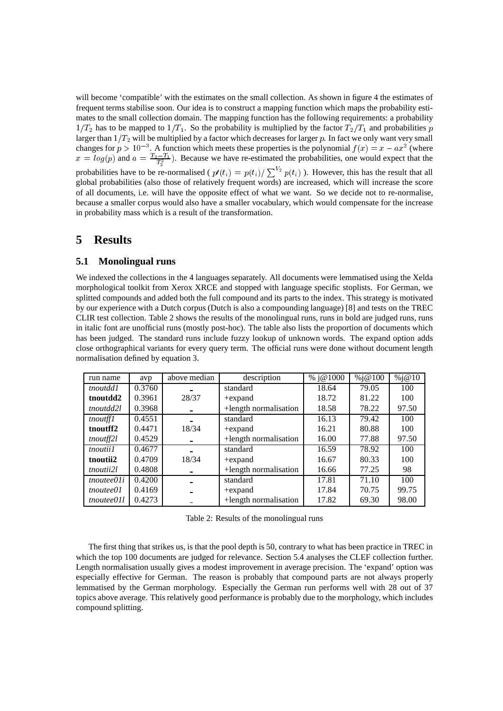will become 'compatible' with the estimates on the small collection. As shown in figure 4 the estimates of frequent terms stabilise soon. Our idea is to construct a mapping function which maps the probability estimates to the small collection domain. The mapping function has the following requirements: a probability  $1/T_2$  has to be mapped to  $1/T_1$ . So the probability is multiplied by the factor  $T_2/T_1$  and probabilities p larger than  $1/T_2$  will be multiplied by a factor which decreases for larger p. In fact we only want very small changes for  $p > 10^{-3}$ . A function which meets these properties is the polynomial  $f(x) = x - ax^2$  (where  $x = log(p)$  and  $a = \frac{T_2 - T_1}{T_2^2}$ ). Because we have re-estimated the probabilities, one would expect that the probabilities have to be re-normalised (  $p(t_i) = p(t_i) / \sum_{i}^{V_2} p(t_i)$  ). However, this has the result that all global probabilities (also those of relatively frequent words) are increased, which will increase the score of all documents, i.e. will have the opposite effect of what we want. So we decide not to re-normalise, because a smaller corpus would also have a smaller vocabulary, which would compensate for the increase in probability mass which is a result of the transformation.

# **5 Results**

#### **5.1 Monolingual runs**

We indexed the collections in the 4 languages separately. All documents were lemmatised using the Xelda morphological toolkit from Xerox XRCE and stopped with language specific stoplists. For German, we splitted compounds and added both the full compound and its parts to the index. This strategy is motivated by our experience with a Dutch corpus (Dutch is also a compounding language) [8] and tests on the TREC CLIR test collection. Table 2 shows the results of the monolingual runs, runs in bold are judged runs, runs in italic font are unofficial runs (mostly post-hoc). The table also lists the proportion of documents which has been judged. The standard runs include fuzzy lookup of unknown words. The expand option adds close orthographical variants for every query term. The official runs were done without document length normalisation defined by equation 3.

| run name              | avp    | above median | description           | % $j@1000$ | $\%$ i@100 | % $j@10$ |
|-----------------------|--------|--------------|-----------------------|------------|------------|----------|
| tnoutdd1              | 0.3760 |              | standard              | 18.64      | 79.05      | 100      |
| tnoutdd2              | 0.3961 | 28/37        | $+$ expand            | 18.72      | 81.22      | 100      |
| tnoutdd2l             | 0.3968 |              | +length normalisation | 18.58      | 78.22      | 97.50    |
| <i>tnoutff1</i>       | 0.4551 |              | standard              | 16.13      | 79.42      | 100      |
| tnoutff2              | 0.4471 | 18/34        | $+$ expand            | 16.21      | 80.88      | 100      |
| $t$ <i>nout</i> $f2l$ | 0.4529 |              | +length normalisation | 16.00      | 77.88      | 97.50    |
| <i>tnoutii1</i>       | 0.4677 |              | standard              | 16.59      | 78.92      | 100      |
| tnoutii2              | 0.4709 | 18/34        | $+$ expand            | 16.67      | 80.33      | 100      |
| tnoutii2l             | 0.4808 |              | +length normalisation | 16.66      | 77.25      | 98       |
| tnoutee01i            | 0.4200 |              | standard              | 17.81      | 71.10      | 100      |
| tnoutee01             | 0.4169 |              | $+$ expand            | 17.84      | 70.75      | 99.75    |
| tnoutee011            | 0.4273 |              | +length normalisation | 17.82      | 69.30      | 98.00    |

Table 2: Results of the monolingual runs

The first thing that strikes us, is that the pool depth is 50, contrary to what has been practice in TREC in which the top 100 documents are judged for relevance. Section 5.4 analyses the CLEF collection further. Length normalisation usually gives a modest improvement in average precision. The 'expand' option was especially effective for German. The reason is probably that compound parts are not always properly lemmatised by the German morphology. Especially the German run performs well with 28 out of 37 topics above average. This relatively good performance is probably due to the morphology, which includes compound splitting.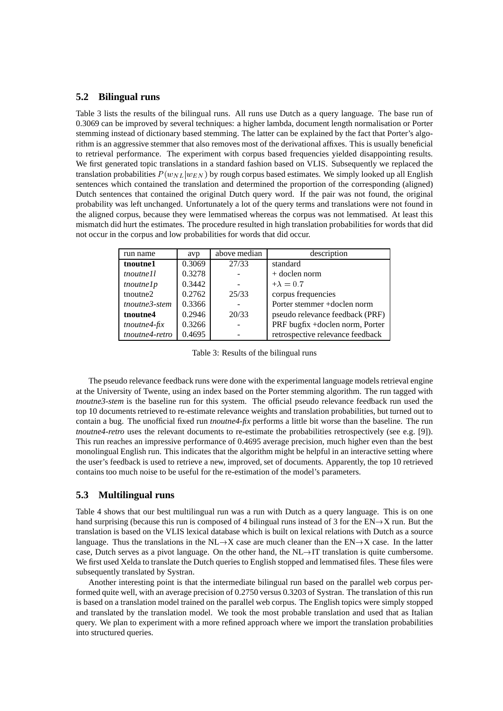### **5.2 Bilingual runs**

Table 3 lists the results of the bilingual runs. All runs use Dutch as a query language. The base run of 0.3069 can be improved by several techniques: a higher lambda, document length normalisation or Porter stemming instead of dictionary based stemming. The latter can be explained by the fact that Porter's algorithm is an aggressive stemmer that also removes most of the derivational affixes. This is usually beneficial to retrieval performance. The experiment with corpus based frequencies yielded disappointing results. We first generated topic translations in a standard fashion based on VLIS. Subsequently we replaced the translation probabilities  $P(w_{NL}|w_{EN})$  by rough corpus based estimates. We simply looked up all English sentences which contained the translation and determined the proportion of the corresponding (aligned) Dutch sentences that contained the original Dutch query word. If the pair was not found, the original probability was left unchanged. Unfortunately a lot of the query terms and translations were not found in the aligned corpus, because they were lemmatised whereas the corpus was not lemmatised. At least this mismatch did hurt the estimates. The procedure resulted in high translation probabilities for words that did not occur in the corpus and low probabilities for words that did occur.

| run name               | avp    | above median | description                      |
|------------------------|--------|--------------|----------------------------------|
| tnoutne1               | 0.3069 | 27/33        | standard                         |
| tnoutne <sub>ll</sub>  | 0.3278 |              | $+$ doclen norm                  |
| <i>tnoutnelp</i>       | 0.3442 |              | $+\lambda = 0.7$                 |
| tnoutne2               | 0.2762 | 25/33        | corpus frequencies               |
| tnoutne3-stem          | 0.3366 |              | Porter stemmer +doclen norm      |
| tnoutne4               | 0.2946 | 20/33        | pseudo relevance feedback (PRF)  |
| $t$ <i>noutne4-fix</i> | 0.3266 |              | PRF bugfix +doclen norm, Porter  |
| tnoutne4-retro         | 0.4695 |              | retrospective relevance feedback |

Table 3: Results of the bilingual runs

The pseudo relevance feedback runs were done with the experimental language models retrieval engine at the University of Twente, using an index based on the Porter stemming algorithm. The run tagged with *tnoutne3-stem* is the baseline run for this system. The official pseudo relevance feedback run used the top 10 documents retrieved to re-estimate relevance weights and translation probabilities, but turned out to contain a bug. The unofficial fixed run *tnoutne4-fix* performs a little bit worse than the baseline. The run *tnoutne4-retro* uses the relevant documents to re-estimate the probabilities retrospectively (see e.g. [9]). This run reaches an impressive performance of 0.4695 average precision, much higher even than the best monolingual English run. This indicates that the algorithm might be helpful in an interactive setting where the user's feedback is used to retrieve a new, improved, set of documents. Apparently, the top 10 retrieved contains too much noise to be useful for the re-estimation of the model's parameters.

#### **5.3 Multilingual runs**

Table 4 shows that our best multilingual run was a run with Dutch as a query language. This is on one hand surprising (because this run is composed of 4 bilingual runs instead of 3 for the  $EN \rightarrow X$  run. But the translation is based on the VLIS lexical database which is built on lexical relations with Dutch as a source language. Thus the translations in the  $NL \rightarrow X$  case are much cleaner than the  $EN \rightarrow X$  case. In the latter case, Dutch serves as a pivot language. On the other hand, the  $NL \rightarrow IT$  translation is quite cumbersome. We first used Xelda to translate the Dutch queries to English stopped and lemmatised files. These files were subsequently translated by Systran.

Another interesting point is that the intermediate bilingual run based on the parallel web corpus performed quite well, with an average precision of 0.2750 versus 0.3203 of Systran. The translation of this run is based on a translation model trained on the parallel web corpus. The English topics were simply stopped and translated by the translation model. We took the most probable translation and used that as Italian query. We plan to experiment with a more refined approach where we import the translation probabilities into structured queries.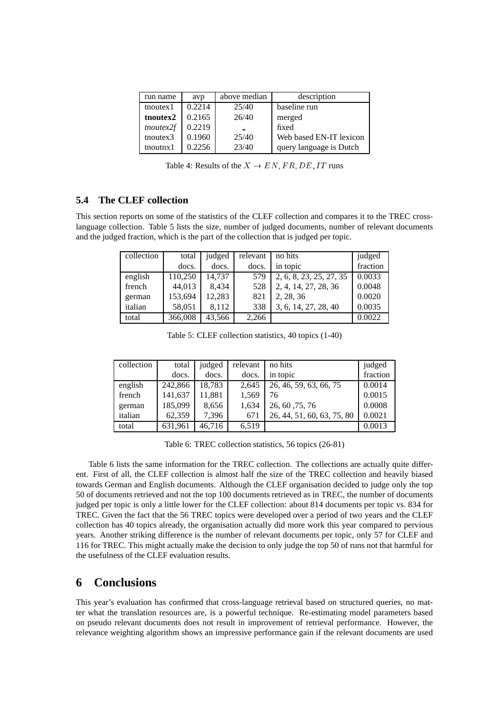| run name          | avp    | above median | description             |
|-------------------|--------|--------------|-------------------------|
| $t$ noutex $1$    | 0.2214 | 25/40        | baseline run            |
| tnoutex2          | 0.2165 | 26/40        | merged                  |
| $t$ noute $x2f$   | 0.2219 |              | fixed                   |
| $t$ noutex $3$    | 0.1960 | 25/40        | Web based EN-IT lexicon |
| $t_{\rm noutnx1}$ | 0.2256 | 23/40        | query language is Dutch |

Table 4: Results of the  $X \to EN, FR, DE, IT$  runs

### **5.4 The CLEF collection**

This section reports on some of the statistics of the CLEF collection and compares it to the TREC crosslanguage collection. Table 5 lists the size, number of judged documents, number of relevant documents and the judged fraction, which is the part of the collection that is judged per topic.

| collection | total   | judged | relevant | no hits                 | judged   |
|------------|---------|--------|----------|-------------------------|----------|
|            | docs.   | docs.  | docs.    | in topic                | fraction |
| english    | 110,250 | 14.737 | 579      | 2, 6, 8, 23, 25, 27, 35 | 0.0033   |
| french     | 44,013  | 8.434  | 528      | 2, 4, 14, 27, 28, 36    | 0.0048   |
| german     | 153,694 | 12,283 | 821      | 2, 28, 36               | 0.0020   |
| italian    | 58,051  | 8.112  | 338      | 3, 6, 14, 27, 28, 40    | 0.0035   |
| total      | 366,008 | 43,566 | 2,266    |                         | 0.0022   |

Table 5: CLEF collection statistics, 40 topics (1-40)

| collection | total   | judged | relevant | no hits                    | judged   |
|------------|---------|--------|----------|----------------------------|----------|
|            | docs.   | docs.  | docs.    | in topic                   | fraction |
| english    | 242,866 | 18.783 | 2,645    | 26, 46, 59, 63, 66, 75     | 0.0014   |
| french     | 141,637 | 11,881 | 1,569    | 76                         | 0.0015   |
| german     | 185,099 | 8,656  | 1,634    | 26, 60, 75, 76             | 0.0008   |
| italian    | 62.359  | 7.396  | 671      | 26, 44, 51, 60, 63, 75, 80 | 0.0021   |
| total      | 631,961 | 46.716 | 6,519    |                            | 0.0013   |

Table 6: TREC collection statistics, 56 topics (26-81)

Table 6 lists the same information for the TREC collection. The collections are actually quite different. First of all, the CLEF collection is almost half the size of the TREC collection and heavily biased towards German and English documents. Although the CLEF organisation decided to judge only the top 50 of documents retrieved and not the top 100 documents retrieved as in TREC, the number of documents judged per topic is only a little lower for the CLEF collection: about 814 documents per topic vs. 834 for TREC. Given the fact that the 56 TREC topics were developed over a period of two years and the CLEF collection has 40 topics already, the organisation actually did more work this year compared to pervious years. Another striking difference is the number of relevant documents per topic, only 57 for CLEF and 116 for TREC. This might actually make the decision to only judge the top 50 of runs not that harmful for the usefulness of the CLEF evaluation results.

# **6 Conclusions**

This year's evaluation has confirmed that cross-language retrieval based on structured queries, no matter what the translation resources are, is a powerful technique. Re-estimating model parameters based on pseudo relevant documents does not result in improvement of retrieval performance. However, the relevance weighting algorithm shows an impressive performance gain if the relevant documents are used